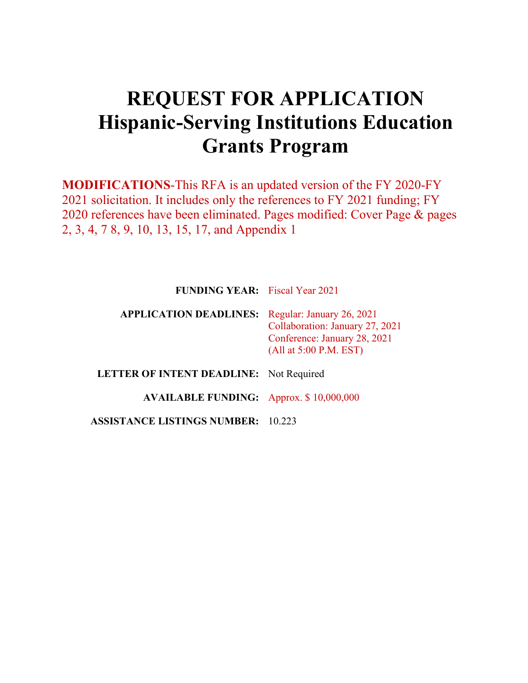# **REQUEST FOR APPLICATION Hispanic-Serving Institutions Education Grants Program**

**MODIFICATIONS**-This RFA is an updated version of the FY 2020-FY 2021 solicitation. It includes only the references to FY 2021 funding; FY 2020 references have been eliminated. Pages modified: Cover Page & pages 2, 3, 4, 7 8, 9, 10, 13, 15, 17, and Appendix 1

| <b>FUNDING YEAR:</b> Fiscal Year 2021 |  |
|---------------------------------------|--|
|                                       |  |

## **APPLICATION DEADLINES:** Regular: January 26, 2021 Collaboration: January 27, 2021 Conference: January 28, 2021 (All at 5:00 P.M. EST)

**LETTER OF INTENT DEADLINE:** Not Required

**AVAILABLE FUNDING:** Approx. \$ 10,000,000

**ASSISTANCE LISTINGS NUMBER:** 10.223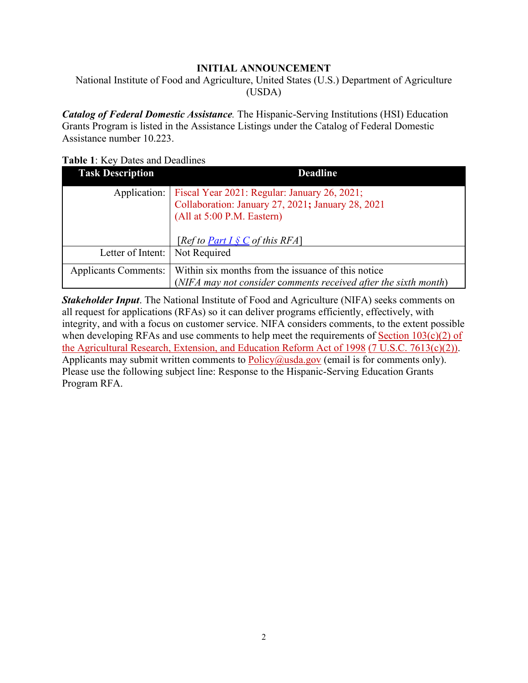#### **INITIAL ANNOUNCEMENT**

<span id="page-1-0"></span>National Institute of Food and Agriculture, United States (U.S.) Department of Agriculture (USDA)

*Catalog of Federal Domestic Assistance.* The Hispanic-Serving Institutions (HSI) Education Grants Program is listed in the Assistance Listings under the Catalog of Federal Domestic Assistance number 10.223.

#### <span id="page-1-1"></span>**Table 1**: Key Dates and Deadlines

| <b>Task Description</b>     | <b>Deadline</b>                                                                                                                                                       |
|-----------------------------|-----------------------------------------------------------------------------------------------------------------------------------------------------------------------|
| Application:                | Fiscal Year 2021: Regular: January 26, 2021;<br>Collaboration: January 27, 2021; January 28, 2021<br>(All at 5:00 P.M. Eastern)<br>[Ref to Part I $\S$ C of this RFA] |
| Letter of Intent:           | Not Required                                                                                                                                                          |
| <b>Applicants Comments:</b> | Within six months from the issuance of this notice<br>(NIFA may not consider comments received after the sixth month)                                                 |

<span id="page-1-2"></span>*Stakeholder Input*. The National Institute of Food and Agriculture (NIFA) seeks comments on all request for applications (RFAs) so it can deliver programs efficiently, effectively, with integrity, and with a focus on customer service. NIFA considers comments, to the extent possible when developing RFAs and use comments to help meet the requirements of Section  $103(c)(2)$  of [the Agricultural Research, Extension, and Education Reform Act of 1998](https://nifa.usda.gov/sites/default/files/resource/Agricultural-Research-Extension-and-Education-Reform-Act-of-1998.pdf) [\(7 U.S.C. 7613\(c\)\(2\)\).](https://nifa.usda.gov/sites/default/files/resource/Agricultural-Research-Extension-and-Education-Reform-Act-of-1998.pdf) Applicants may submit written comments to  $Policy@usda.gov$  (email is for comments only). Please use the following subject line: Response to the Hispanic-Serving Education Grants Program RFA.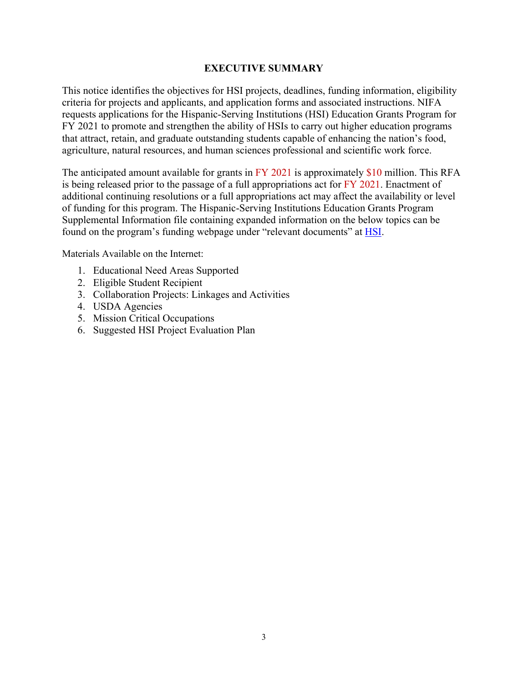#### **EXECUTIVE SUMMARY**

<span id="page-2-0"></span>This notice identifies the objectives for HSI projects, deadlines, funding information, eligibility criteria for projects and applicants, and application forms and associated instructions. NIFA requests applications for the Hispanic-Serving Institutions (HSI) Education Grants Program for FY 2021 to promote and strengthen the ability of HSIs to carry out higher education programs that attract, retain, and graduate outstanding students capable of enhancing the nation's food, agriculture, natural resources, and human sciences professional and scientific work force.

The anticipated amount available for grants in FY 2021 is approximately \$10 million. This RFA is being released prior to the passage of a full appropriations act for FY 2021. Enactment of additional continuing resolutions or a full appropriations act may affect the availability or level of funding for this program. The Hispanic-Serving Institutions Education Grants Program Supplemental Information file containing expanded information on the below topics can be found on the program's funding webpage under "relevant documents" at **HSI**.

Materials Available on the Internet:

- 1. Educational Need Areas Supported
- 2. Eligible Student Recipient
- 3. Collaboration Projects: Linkages and Activities
- 4. USDA Agencies
- 5. Mission Critical Occupations
- 6. Suggested HSI Project Evaluation Plan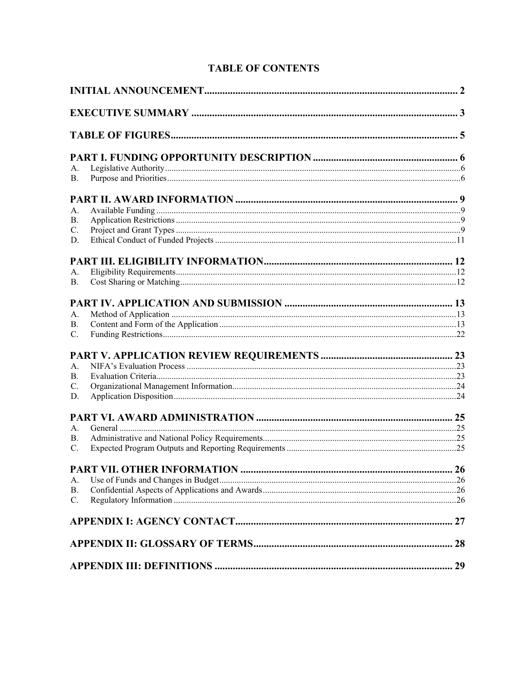| А.             |                             |    |
|----------------|-----------------------------|----|
| <b>B.</b>      |                             |    |
|                |                             |    |
| А.             |                             |    |
| <b>B.</b>      |                             |    |
| C.             |                             |    |
| D.             |                             |    |
|                |                             |    |
| А.             |                             |    |
| <b>B.</b>      |                             |    |
|                |                             |    |
|                |                             |    |
| A.             |                             |    |
| B.             |                             |    |
| $C_{\cdot}$    |                             |    |
|                |                             |    |
| A <sub>1</sub> |                             |    |
| B.             |                             |    |
| C.             |                             |    |
| D.             |                             |    |
|                |                             |    |
| A.             |                             |    |
| В.             |                             |    |
| $C_{\cdot}$    |                             |    |
|                | PART VII. OTHER INFORMATION | 26 |
| А.             |                             |    |
| <b>B.</b>      |                             |    |
| $C_{\cdot}$    |                             |    |
|                |                             |    |
|                |                             |    |

# **TABLE OF CONTENTS**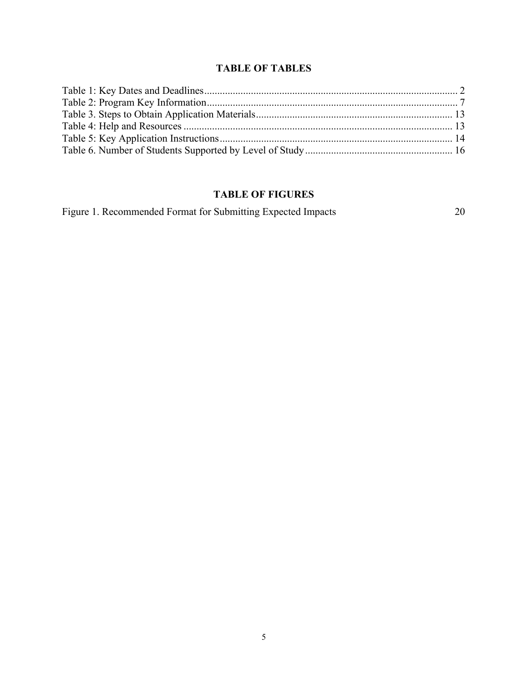## **TABLE OF TABLES**

# <span id="page-4-0"></span>**TABLE OF FIGURES**

[Figure 1. Recommended Format for Submitting Expected Impacts](#page-18-0) 20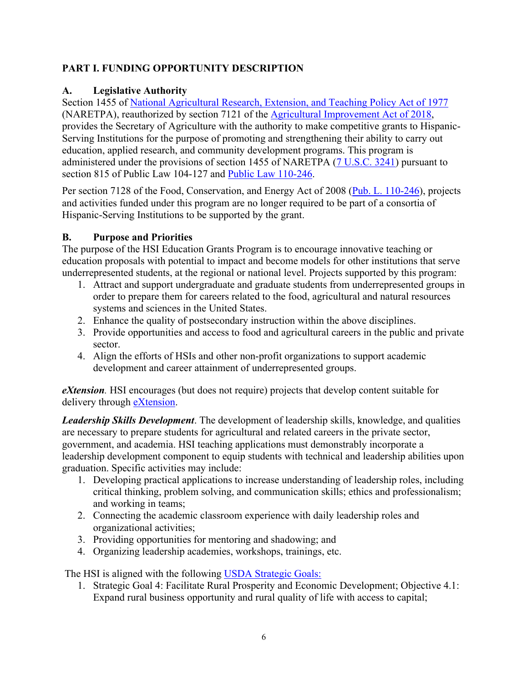## <span id="page-5-0"></span>**PART I. FUNDING OPPORTUNITY DESCRIPTION**

## <span id="page-5-1"></span>**A. Legislative Authority**

Section 1455 of [National Agricultural Research, Extension, and Teaching Policy Act of 1977](https://nifa.usda.gov/sites/default/files/resource/nar77.pdf) (NARETPA), reauthorized by section 7121 of the [Agricultural Improvement Act of 2018,](https://www.congress.gov/bill/115th-congress/house-bill/2/text) provides the Secretary of Agriculture with the authority to make competitive grants to Hispanic-Serving Institutions for the purpose of promoting and strengthening their ability to carry out education, applied research, and community development programs. This program is administered under the provisions of section 1455 of NARETPA [\(7 U.S.C. 3241\)](https://uscode.house.gov/view.xhtml?req=(title:7%20section:3241%20edition:prelim)%20OR%20(granuleid:USC-prelim-title7-section3241)&f=treesort&edition=prelim&num=0&jumpTo=true) pursuant to section 815 of Public Law 104-127 and [Public Law 110-246.](https://www.congress.gov/110/plaws/publ246/PLAW-110publ246.pdf)

Per section 7128 of the Food, Conservation, and Energy Act of 2008 [\(Pub. L. 110-246\)](https://www.congress.gov/110/plaws/publ246/PLAW-110publ246.pdf), projects and activities funded under this program are no longer required to be part of a consortia of Hispanic-Serving Institutions to be supported by the grant.

## <span id="page-5-2"></span>**B. Purpose and Priorities**

The purpose of the HSI Education Grants Program is to encourage innovative teaching or education proposals with potential to impact and become models for other institutions that serve underrepresented students, at the regional or national level. Projects supported by this program:

- 1. Attract and support undergraduate and graduate students from underrepresented groups in order to prepare them for careers related to the food, agricultural and natural resources systems and sciences in the United States.
- 2. Enhance the quality of postsecondary instruction within the above disciplines.
- 3. Provide opportunities and access to food and agricultural careers in the public and private sector.
- 4. Align the efforts of HSIs and other non-profit organizations to support academic development and career attainment of underrepresented groups.

*eXtension.* HSI encourages (but does not require) projects that develop content suitable for delivery through **eXtension**.

*Leadership Skills Development*. The development of leadership skills, knowledge, and qualities are necessary to prepare students for agricultural and related careers in the private sector, government, and academia. HSI teaching applications must demonstrably incorporate a leadership development component to equip students with technical and leadership abilities upon graduation. Specific activities may include:

- 1. Developing practical applications to increase understanding of leadership roles, including critical thinking, problem solving, and communication skills; ethics and professionalism; and working in teams;
- 2. Connecting the academic classroom experience with daily leadership roles and organizational activities;
- 3. Providing opportunities for mentoring and shadowing; and
- 4. Organizing leadership academies, workshops, trainings, etc.

The HSI is aligned with the following [USDA Strategic Goals:](https://www.usda.gov/sites/default/files/documents/usda-strategic-plan-2018-2022.pdf) 

1. Strategic Goal 4: Facilitate Rural Prosperity and Economic Development; Objective 4.1: Expand rural business opportunity and rural quality of life with access to capital;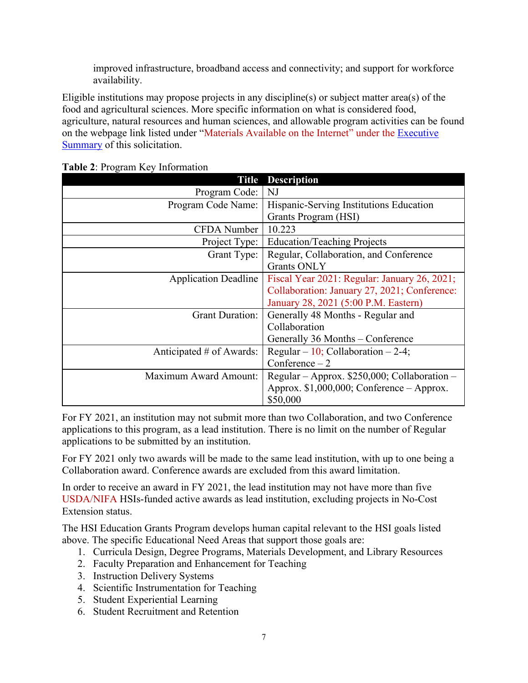improved infrastructure, broadband access and connectivity; and support for workforce availability.

Eligible institutions may propose projects in any discipline(s) or subject matter area(s) of the food and agricultural sciences. More specific information on what is considered food, agriculture, natural resources and human sciences, and allowable program activities can be found on the webpage link listed under "Materials Available on the Internet" under the [Executive](#page-1-2)  [Summary](#page-1-2) of this solicitation.

| <b>Description</b><br>Title  |                                                |  |  |  |
|------------------------------|------------------------------------------------|--|--|--|
| Program Code:                | NJ                                             |  |  |  |
| Program Code Name:           | Hispanic-Serving Institutions Education        |  |  |  |
|                              | Grants Program (HSI)                           |  |  |  |
| <b>CFDA</b> Number           | 10.223                                         |  |  |  |
| Project Type:                | <b>Education/Teaching Projects</b>             |  |  |  |
| Grant Type:                  | Regular, Collaboration, and Conference         |  |  |  |
|                              | <b>Grants ONLY</b>                             |  |  |  |
| <b>Application Deadline</b>  | Fiscal Year 2021: Regular: January 26, 2021;   |  |  |  |
|                              | Collaboration: January 27, 2021; Conference:   |  |  |  |
|                              | January 28, 2021 (5:00 P.M. Eastern)           |  |  |  |
| <b>Grant Duration:</b>       | Generally 48 Months - Regular and              |  |  |  |
|                              | Collaboration                                  |  |  |  |
|                              | Generally 36 Months – Conference               |  |  |  |
| Anticipated # of Awards:     | Regular – 10; Collaboration – 2-4;             |  |  |  |
|                              | Conference $-2$                                |  |  |  |
| <b>Maximum Award Amount:</b> | Regular – Approx. $$250,000$ ; Collaboration – |  |  |  |
|                              | Approx. $$1,000,000$ ; Conference - Approx.    |  |  |  |
|                              | \$50,000                                       |  |  |  |

<span id="page-6-0"></span>

|  | Table 2: Program Key Information |
|--|----------------------------------|
|  |                                  |

For FY 2021, an institution may not submit more than two Collaboration, and two Conference applications to this program, as a lead institution. There is no limit on the number of Regular applications to be submitted by an institution.

For FY 2021 only two awards will be made to the same lead institution, with up to one being a Collaboration award. Conference awards are excluded from this award limitation.

In order to receive an award in FY 2021, the lead institution may not have more than five USDA/NIFA HSIs-funded active awards as lead institution, excluding projects in No-Cost Extension status.

The HSI Education Grants Program develops human capital relevant to the HSI goals listed above. The specific Educational Need Areas that support those goals are:

- 1. Curricula Design, Degree Programs, Materials Development, and Library Resources
- 2. Faculty Preparation and Enhancement for Teaching
- 3. Instruction Delivery Systems
- 4. Scientific Instrumentation for Teaching
- 5. Student Experiential Learning
- 6. Student Recruitment and Retention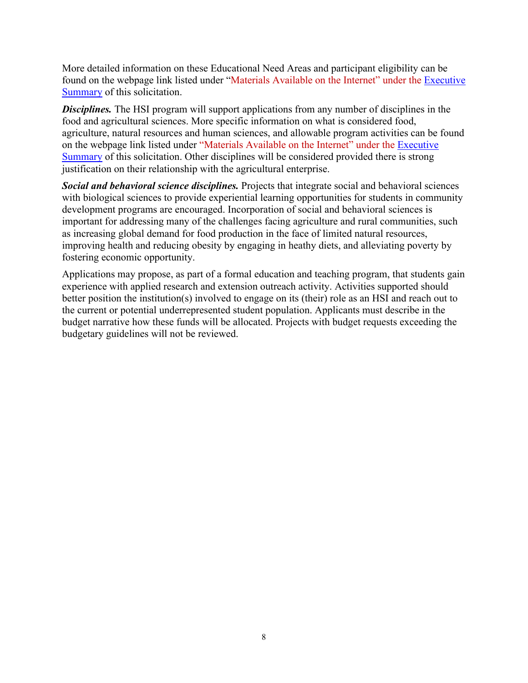More detailed information on these Educational Need Areas and participant eligibility can be found on the webpage link listed under "Materials Available on the Internet" under the [Executive](#page-1-2)  [Summary](#page-1-2) of this solicitation.

**Disciplines.** The HSI program will support applications from any number of disciplines in the food and agricultural sciences. More specific information on what is considered food, agriculture, natural resources and human sciences, and allowable program activities can be found on the webpage link listed under "Materials Available on the Internet" under the [Executive](#page-1-2)  [Summary](#page-1-2) of this solicitation. Other disciplines will be considered provided there is strong justification on their relationship with the agricultural enterprise.

*Social and behavioral science disciplines.* Projects that integrate social and behavioral sciences with biological sciences to provide experiential learning opportunities for students in community development programs are encouraged. Incorporation of social and behavioral sciences is important for addressing many of the challenges facing agriculture and rural communities, such as increasing global demand for food production in the face of limited natural resources, improving health and reducing obesity by engaging in heathy diets, and alleviating poverty by fostering economic opportunity.

<span id="page-7-0"></span>Applications may propose, as part of a formal education and teaching program, that students gain experience with applied research and extension outreach activity. Activities supported should better position the institution(s) involved to engage on its (their) role as an HSI and reach out to the current or potential underrepresented student population. Applicants must describe in the budget narrative how these funds will be allocated. Projects with budget requests exceeding the budgetary guidelines will not be reviewed.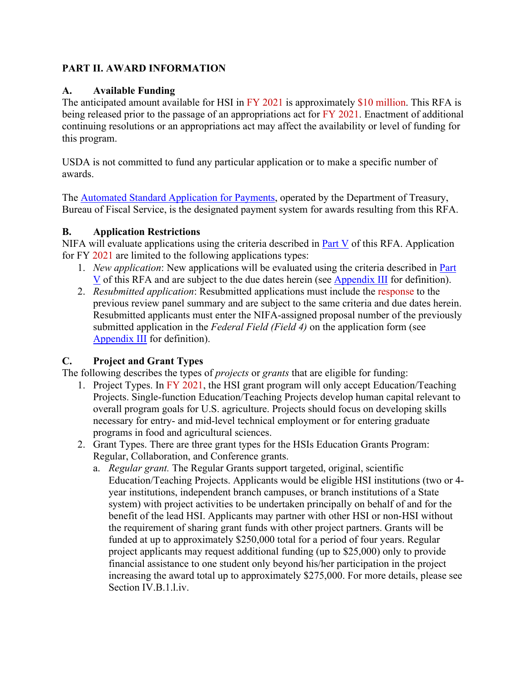## <span id="page-8-0"></span>**PART II. AWARD INFORMATION**

#### <span id="page-8-1"></span>**A. Available Funding**

The anticipated amount available for HSI in FY 2021 is approximately \$10 million. This RFA is being released prior to the passage of an appropriations act for FY 2021. Enactment of additional continuing resolutions or an appropriations act may affect the availability or level of funding for this program.

USDA is not committed to fund any particular application or to make a specific number of awards.

The [Automated Standard Application for Payments,](https://www.fiscal.treasury.gov/fsservices/gov/pmt/asap/asap_home.htm) operated by the Department of Treasury, Bureau of Fiscal Service, is the designated payment system for awards resulting from this RFA.

## <span id="page-8-2"></span>**B. Application Restrictions**

NIFA will evaluate applications using the criteria described in [Part V](#page-22-0) of this RFA. Application for FY 2021 are limited to the following applications types:

- 1. *New application*: New applications will be evaluated using the criteria described in [Part](#page-22-0)  [V](#page-22-0) of this RFA and are subject to the due dates herein (see [Appendix III](#page-28-0) for definition).
- 2. *Resubmitted application*: Resubmitted applications must include the response to the previous review panel summary and are subject to the same criteria and due dates herein. Resubmitted applicants must enter the NIFA-assigned proposal number of the previously submitted application in the *Federal Field (Field 4)* on the application form (see [Appendix III](#page-28-0) for definition).

## <span id="page-8-3"></span>**C. Project and Grant Types**

The following describes the types of *projects* or *grants* that are eligible for funding:

- 1. Project Types. In FY 2021, the HSI grant program will only accept Education/Teaching Projects. Single-function Education/Teaching Projects develop human capital relevant to overall program goals for U.S. agriculture. Projects should focus on developing skills necessary for entry- and mid-level technical employment or for entering graduate programs in food and agricultural sciences.
- 2. Grant Types. There are three grant types for the HSIs Education Grants Program: Regular, Collaboration, and Conference grants.
	- a. *Regular grant.* The Regular Grants support targeted, original, scientific Education/Teaching Projects. Applicants would be eligible HSI institutions (two or 4 year institutions, independent branch campuses, or branch institutions of a State system) with project activities to be undertaken principally on behalf of and for the benefit of the lead HSI. Applicants may partner with other HSI or non-HSI without the requirement of sharing grant funds with other project partners. Grants will be funded at up to approximately \$250,000 total for a period of four years. Regular project applicants may request additional funding (up to \$25,000) only to provide financial assistance to one student only beyond his/her participation in the project increasing the award total up to approximately \$275,000. For more details, please see Section IV.B.1.l.iv.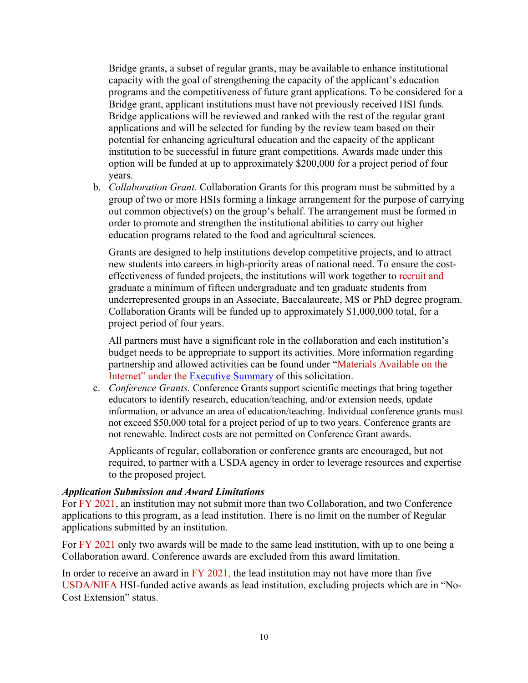Bridge grants, a subset of regular grants, may be available to enhance institutional capacity with the goal of strengthening the capacity of the applicant's education programs and the competitiveness of future grant applications. To be considered for a Bridge grant, applicant institutions must have not previously received HSI funds. Bridge applications will be reviewed and ranked with the rest of the regular grant applications and will be selected for funding by the review team based on their potential for enhancing agricultural education and the capacity of the applicant institution to be successful in future grant competitions. Awards made under this option will be funded at up to approximately \$200,000 for a project period of four years.

b. *Collaboration Grant.* Collaboration Grants for this program must be submitted by a group of two or more HSIs forming a linkage arrangement for the purpose of carrying out common objective(s) on the group's behalf. The arrangement must be formed in order to promote and strengthen the institutional abilities to carry out higher education programs related to the food and agricultural sciences.

Grants are designed to help institutions develop competitive projects, and to attract new students into careers in high-priority areas of national need. To ensure the costeffectiveness of funded projects, the institutions will work together to recruit and graduate a minimum of fifteen undergraduate and ten graduate students from underrepresented groups in an Associate, Baccalaureate, MS or PhD degree program. Collaboration Grants will be funded up to approximately \$1,000,000 total, for a project period of four years.

All partners must have a significant role in the collaboration and each institution's budget needs to be appropriate to support its activities. More information regarding partnership and allowed activities can be found under "Materials Available on the Internet" under the [Executive Summary](#page-1-2) of this solicitation.

c. *Conference Grants.* Conference Grants support scientific meetings that bring together educators to identify research, education/teaching, and/or extension needs, update information, or advance an area of education/teaching. Individual conference grants must not exceed \$50,000 total for a project period of up to two years. Conference grants are not renewable. Indirect costs are not permitted on Conference Grant awards.

Applicants of regular, collaboration or conference grants are encouraged, but not required, to partner with a USDA agency in order to leverage resources and expertise to the proposed project.

#### *Application Submission and Award Limitations*

For FY 2021, an institution may not submit more than two Collaboration, and two Conference applications to this program, as a lead institution. There is no limit on the number of Regular applications submitted by an institution.

For FY 2021 only two awards will be made to the same lead institution, with up to one being a Collaboration award. Conference awards are excluded from this award limitation.

In order to receive an award in FY 2021, the lead institution may not have more than five USDA/NIFA HSI-funded active awards as lead institution, excluding projects which are in "No-Cost Extension" status.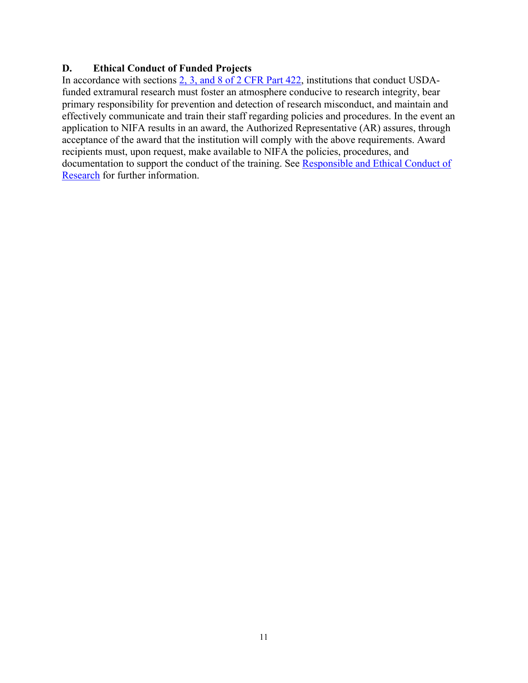#### <span id="page-10-0"></span>**D. Ethical Conduct of Funded Projects**

In accordance with sections [2, 3, and 8 of 2 CFR Part 422,](https://ecfr.io/Title-02/pt2.1.422) institutions that conduct USDAfunded extramural research must foster an atmosphere conducive to research integrity, bear primary responsibility for prevention and detection of research misconduct, and maintain and effectively communicate and train their staff regarding policies and procedures. In the event an application to NIFA results in an award, the Authorized Representative (AR) assures, through acceptance of the award that the institution will comply with the above requirements. Award recipients must, upon request, make available to NIFA the policies, procedures, and documentation to support the conduct of the training. See [Responsible and Ethical Conduct of](https://nifa.usda.gov/responsible-and-ethical-conduct-research)  [Research](https://nifa.usda.gov/responsible-and-ethical-conduct-research) for further information.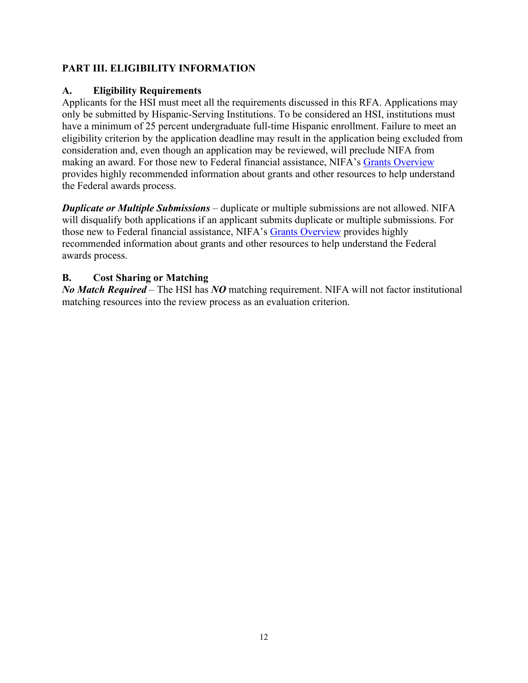## <span id="page-11-0"></span>**PART III. ELIGIBILITY INFORMATION**

#### <span id="page-11-1"></span>**A. Eligibility Requirements**

Applicants for the HSI must meet all the requirements discussed in this RFA. Applications may only be submitted by Hispanic-Serving Institutions. To be considered an HSI, institutions must have a minimum of 25 percent undergraduate full-time Hispanic enrollment. Failure to meet an eligibility criterion by the application deadline may result in the application being excluded from consideration and, even though an application may be reviewed, will preclude NIFA from making an award. For those new to Federal financial assistance, NIFA's [Grants Overview](https://nifa.usda.gov/resource/grants-overview) provides highly recommended information about grants and other resources to help understand the Federal awards process.

*Duplicate or Multiple Submissions* – duplicate or multiple submissions are not allowed. NIFA will disqualify both applications if an applicant submits duplicate or multiple submissions. For those new to Federal financial assistance, NIFA's [Grants Overview](https://nifa.usda.gov/resource/grants-overview) provides highly recommended information about grants and other resources to help understand the Federal awards process.

#### <span id="page-11-2"></span>**B. Cost Sharing or Matching**

*No Match Required* – The HSI has *NO* matching requirement. NIFA will not factor institutional matching resources into the review process as an evaluation criterion.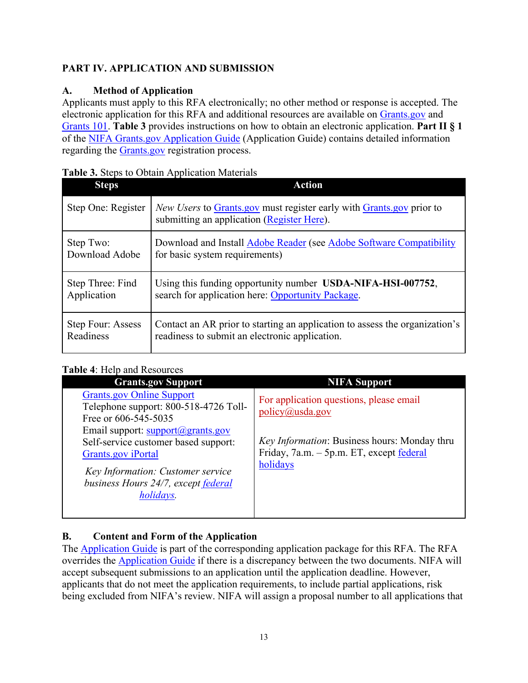## <span id="page-12-0"></span>**PART IV. APPLICATION AND SUBMISSION**

## <span id="page-12-1"></span>**A. Method of Application**

Applicants must apply to this RFA electronically; no other method or response is accepted. The electronic application for this RFA and additional resources are available on [Grants.gov](https://www.grants.gov/) and [Grants 101.](https://www.grants.gov/web/grants/learn-grants/grants-101/pre-award-phase.html/) **Table 3** provides instructions on how to obtain an electronic application. **Part II § 1** of the [NIFA Grants.gov Application Guide](https://apply07.grants.gov/apply/opportunities/instructions/PKG00249520-instructions.pdf) (Application Guide) contains detailed information regarding the [Grants.gov](https://www.grants.gov/) registration process.

| <b>Steps</b>       | <b><i>Radio 6: Steps to South Tippheumon Muterians</i></b><br><b>Action</b>                                               |
|--------------------|---------------------------------------------------------------------------------------------------------------------------|
| Step One: Register | <i>New Users</i> to Grants.gov must register early with Grants.gov prior to<br>submitting an application (Register Here). |
| Step Two:          | Download and Install Adobe Reader (see Adobe Software Compatibility                                                       |
| Download Adobe     | for basic system requirements)                                                                                            |
| Step Three: Find   | Using this funding opportunity number USDA-NIFA-HSI-007752,                                                               |
| Application        | search for application here: Opportunity Package.                                                                         |
| Step Four: Assess  | Contact an AR prior to starting an application to assess the organization's                                               |
| Readiness          | readiness to submit an electronic application.                                                                            |

#### <span id="page-12-3"></span>**Table 3.** Steps to Obtain Application Materials

## <span id="page-12-4"></span>**Table 4**: Help and Resources

| <b>Grants.gov Support</b>                                                                                                                                                                               | <b>NIFA Support</b>                                                                                  |
|---------------------------------------------------------------------------------------------------------------------------------------------------------------------------------------------------------|------------------------------------------------------------------------------------------------------|
| <b>Grants.gov Online Support</b><br>Telephone support: 800-518-4726 Toll-<br>Free or 606-545-5035                                                                                                       | For application questions, please email<br>policy@usda.gov                                           |
| Email support: $support(\mathcal{Q})$ grants.gov<br>Self-service customer based support:<br>Grants.gov iPortal<br>Key Information: Customer service<br>business Hours 24/7, except federal<br>holidays. | Key Information: Business hours: Monday thru<br>Friday, 7a.m. - 5p.m. ET, except federal<br>holidays |

# <span id="page-12-2"></span>**B. Content and Form of the Application**

The [Application Guide](https://apply07.grants.gov/apply/opportunities/instructions/PKG00249520-instructions.pdf) is part of the corresponding application package for this RFA. The RFA overrides the [Application Guide](https://apply07.grants.gov/apply/opportunities/instructions/PKG00249520-instructions.pdf) if there is a discrepancy between the two documents. NIFA will accept subsequent submissions to an application until the application deadline. However, applicants that do not meet the application requirements, to include partial applications, risk being excluded from NIFA's review. NIFA will assign a proposal number to all applications that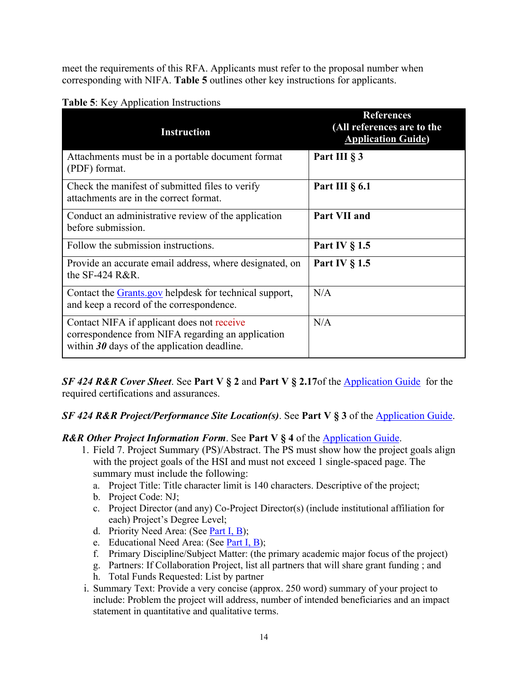meet the requirements of this RFA. Applicants must refer to the proposal number when corresponding with NIFA. **Table 5** outlines other key instructions for applicants.

| <b>Instruction</b>                                                                                                                               | <b>References</b><br>(All references are to the<br><b>Application Guide)</b> |
|--------------------------------------------------------------------------------------------------------------------------------------------------|------------------------------------------------------------------------------|
| Attachments must be in a portable document format<br>(PDF) format.                                                                               | Part III § 3                                                                 |
| Check the manifest of submitted files to verify<br>attachments are in the correct format.                                                        | Part III $\S$ 6.1                                                            |
| Conduct an administrative review of the application<br>before submission.                                                                        | Part VII and                                                                 |
| Follow the submission instructions.                                                                                                              | Part IV § 1.5                                                                |
| Provide an accurate email address, where designated, on<br>the SF-424 R&R.                                                                       | Part IV $\S$ 1.5                                                             |
| Contact the Grants.gov helpdesk for technical support,<br>and keep a record of the correspondence.                                               | N/A                                                                          |
| Contact NIFA if applicant does not receive<br>correspondence from NIFA regarding an application<br>within $30$ days of the application deadline. | N/A                                                                          |

<span id="page-13-0"></span>**Table 5**: Key Application Instructions

*SF 424 R&R Cover Sheet*. See **Part V § 2** and **Part V § 2.17**of the [Application Guide](https://apply07.grants.gov/apply/opportunities/instructions/PKG00249520-instructions.pdf) for the required certifications and assurances.

## *SF 424 R&R Project/Performance Site Location(s)*. See **Part V § 3** of the [Application Guide.](https://apply07.grants.gov/apply/opportunities/instructions/PKG00249520-instructions.pdf)

#### *R&R Other Project Information Form*. See **Part V § 4** of the [Application Guide.](https://apply07.grants.gov/apply/opportunities/instructions/PKG00249520-instructions.pdf)

- 1. Field 7. Project Summary (PS)/Abstract. The PS must show how the project goals align with the project goals of the HSI and must not exceed 1 single-spaced page. The summary must include the following:
	- a. Project Title: Title character limit is 140 characters. Descriptive of the project;
	- b. Project Code: NJ;
	- c. Project Director (and any) Co-Project Director(s) (include institutional affiliation for each) Project's Degree Level;
	- d. Priority Need Area: (See [Part I, B\)](#page-5-2);
	- e. Educational Need Area: (See [Part I, B\)](#page-5-2);
	- f. Primary Discipline/Subject Matter: (the primary academic major focus of the project)
	- g. Partners: If Collaboration Project, list all partners that will share grant funding ; and
	- h. Total Funds Requested: List by partner
- i. Summary Text: Provide a very concise (approx. 250 word) summary of your project to include: Problem the project will address, number of intended beneficiaries and an impact statement in quantitative and qualitative terms.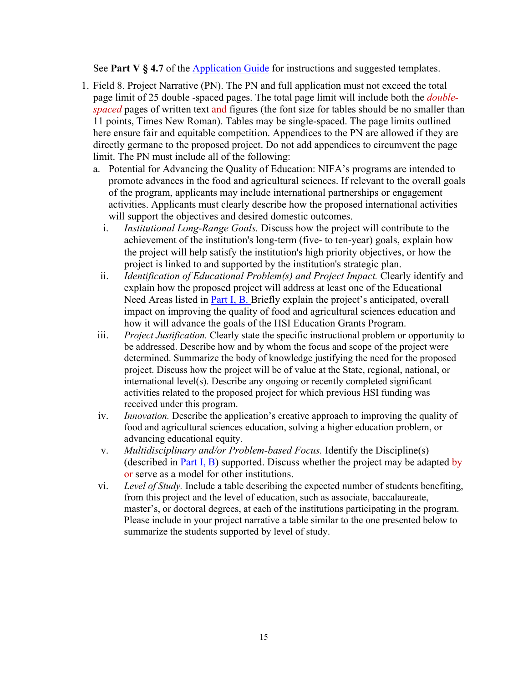See **Part V § 4.7** of the [Application Guide](https://apply07.grants.gov/apply/opportunities/instructions/PKG00249520-instructions.pdf) for instructions and suggested templates.

- <span id="page-14-0"></span>1. Field 8. Project Narrative (PN). The PN and full application must not exceed the total page limit of 25 double -spaced pages. The total page limit will include both the *doublespaced* pages of written text and figures (the font size for tables should be no smaller than 11 points, Times New Roman). Tables may be single-spaced. The page limits outlined here ensure fair and equitable competition. Appendices to the PN are allowed if they are directly germane to the proposed project. Do not add appendices to circumvent the page limit. The PN must include all of the following:
	- a. Potential for Advancing the Quality of Education: NIFA's programs are intended to promote advances in the food and agricultural sciences. If relevant to the overall goals of the program, applicants may include international partnerships or engagement activities. Applicants must clearly describe how the proposed international activities will support the objectives and desired domestic outcomes.
		- i. *Institutional Long-Range Goals.* Discuss how the project will contribute to the achievement of the institution's long-term (five- to ten-year) goals, explain how the project will help satisfy the institution's high priority objectives, or how the project is linked to and supported by the institution's strategic plan.
		- ii. *Identification of Educational Problem(s) and Project Impact.* Clearly identify and explain how the proposed project will address at least one of the Educational Need Areas listed in [Part I, B.](#page-5-2) Briefly explain the project's anticipated, overall impact on improving the quality of food and agricultural sciences education and how it will advance the goals of the HSI Education Grants Program.
	- iii. *Project Justification.* Clearly state the specific instructional problem or opportunity to be addressed. Describe how and by whom the focus and scope of the project were determined. Summarize the body of knowledge justifying the need for the proposed project. Discuss how the project will be of value at the State, regional, national, or international level(s). Describe any ongoing or recently completed significant activities related to the proposed project for which previous HSI funding was received under this program.
	- iv. *Innovation.* Describe the application's creative approach to improving the quality of food and agricultural sciences education, solving a higher education problem, or advancing educational equity.
	- v. *Multidisciplinary and/or Problem-based Focus.* Identify the Discipline(s) (described in [Part I, B\)](#page-5-2) supported. Discuss whether the project may be adapted by or serve as a model for other institutions.
	- vi. *Level of Study.* Include a table describing the expected number of students benefiting, from this project and the level of education, such as associate, baccalaureate, master's, or doctoral degrees, at each of the institutions participating in the program. Please include in your project narrative a table similar to the one presented below to summarize the students supported by level of study.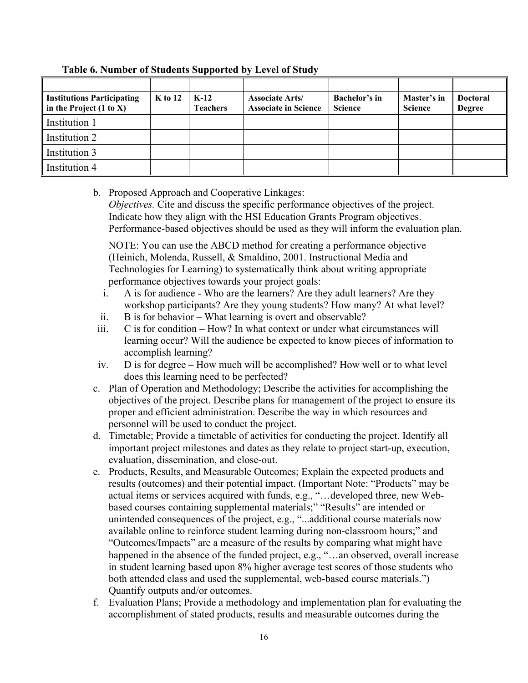| <b>Institutions Participating</b><br>$\parallel$ in the Project (1 to X) | $K$ to 12 | $K-12$<br><b>Teachers</b> | <b>Associate Arts/</b><br><b>Associate in Science</b> | Bachelor's in<br><b>Science</b> | Master's in<br><b>Science</b> | <b>Doctoral</b><br><b>Degree</b> |
|--------------------------------------------------------------------------|-----------|---------------------------|-------------------------------------------------------|---------------------------------|-------------------------------|----------------------------------|
| Institution 1                                                            |           |                           |                                                       |                                 |                               |                                  |
| Institution 2                                                            |           |                           |                                                       |                                 |                               |                                  |
| Institution 3                                                            |           |                           |                                                       |                                 |                               |                                  |
| Institution 4                                                            |           |                           |                                                       |                                 |                               |                                  |

**Table 6. Number of Students Supported by Level of Study**

b. Proposed Approach and Cooperative Linkages:

*Objectives.* Cite and discuss the specific performance objectives of the project. Indicate how they align with the HSI Education Grants Program objectives. Performance-based objectives should be used as they will inform the evaluation plan.

NOTE: You can use the ABCD method for creating a performance objective (Heinich, Molenda, Russell, & Smaldino, 2001. Instructional Media and Technologies for Learning) to systematically think about writing appropriate performance objectives towards your project goals:

- i. A is for audience Who are the learners? Are they adult learners? Are they workshop participants? Are they young students? How many? At what level?
- ii. B is for behavior What learning is overt and observable?
- iii. C is for condition How? In what context or under what circumstances will learning occur? Will the audience be expected to know pieces of information to accomplish learning?
- iv. D is for degree How much will be accomplished? How well or to what level does this learning need to be perfected?
- c. Plan of Operation and Methodology; Describe the activities for accomplishing the objectives of the project. Describe plans for management of the project to ensure its proper and efficient administration. Describe the way in which resources and personnel will be used to conduct the project.
- d. Timetable; Provide a timetable of activities for conducting the project. Identify all important project milestones and dates as they relate to project start-up, execution, evaluation, dissemination, and close-out.
- e. Products, Results, and Measurable Outcomes; Explain the expected products and results (outcomes) and their potential impact. (Important Note: "Products" may be actual items or services acquired with funds, e.g., "…developed three, new Webbased courses containing supplemental materials;" "Results" are intended or unintended consequences of the project, e.g., "...additional course materials now available online to reinforce student learning during non-classroom hours;" and "Outcomes/Impacts" are a measure of the results by comparing what might have happened in the absence of the funded project, e.g., "...an observed, overall increase in student learning based upon 8% higher average test scores of those students who both attended class and used the supplemental, web-based course materials.") Quantify outputs and/or outcomes.
- f. Evaluation Plans; Provide a methodology and implementation plan for evaluating the accomplishment of stated products, results and measurable outcomes during the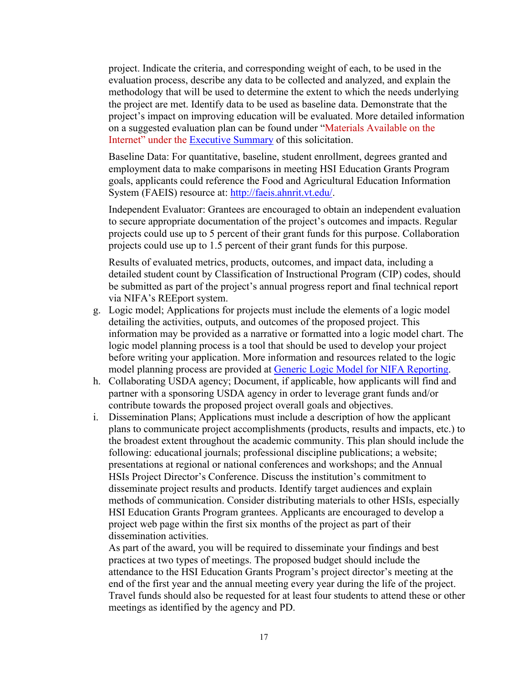project. Indicate the criteria, and corresponding weight of each, to be used in the evaluation process, describe any data to be collected and analyzed, and explain the methodology that will be used to determine the extent to which the needs underlying the project are met. Identify data to be used as baseline data. Demonstrate that the project's impact on improving education will be evaluated. More detailed information on a suggested evaluation plan can be found under "Materials Available on the Internet" under the [Executive Summary](#page-1-2) of this solicitation.

Baseline Data: For quantitative, baseline, student enrollment, degrees granted and employment data to make comparisons in meeting HSI Education Grants Program goals, applicants could reference the Food and Agricultural Education Information System (FAEIS) resource at: [http://faeis.ahnrit.vt.edu/.](http://faeis.ahnrit.vt.edu/)

Independent Evaluator: Grantees are encouraged to obtain an independent evaluation to secure appropriate documentation of the project's outcomes and impacts. Regular projects could use up to 5 percent of their grant funds for this purpose. Collaboration projects could use up to 1.5 percent of their grant funds for this purpose.

Results of evaluated metrics, products, outcomes, and impact data, including a detailed student count by Classification of Instructional Program (CIP) codes, should be submitted as part of the project's annual progress report and final technical report via NIFA's REEport system.

- g. Logic model; Applications for projects must include the elements of a logic model detailing the activities, outputs, and outcomes of the proposed project. This information may be provided as a narrative or formatted into a logic model chart. The logic model planning process is a tool that should be used to develop your project before writing your application. More information and resources related to the logic model planning process are provided at [Generic Logic Model for NIFA Reporting.](https://nifa.usda.gov/resource/generic-logic-model-nifa-reporting)
- h. Collaborating USDA agency; Document, if applicable, how applicants will find and partner with a sponsoring USDA agency in order to leverage grant funds and/or contribute towards the proposed project overall goals and objectives.
- i. Dissemination Plans; Applications must include a description of how the applicant plans to communicate project accomplishments (products, results and impacts, etc.) to the broadest extent throughout the academic community. This plan should include the following: educational journals; professional discipline publications; a website; presentations at regional or national conferences and workshops; and the Annual HSIs Project Director's Conference. Discuss the institution's commitment to disseminate project results and products. Identify target audiences and explain methods of communication. Consider distributing materials to other HSIs, especially HSI Education Grants Program grantees. Applicants are encouraged to develop a project web page within the first six months of the project as part of their dissemination activities.

As part of the award, you will be required to disseminate your findings and best practices at two types of meetings. The proposed budget should include the attendance to the HSI Education Grants Program's project director's meeting at the end of the first year and the annual meeting every year during the life of the project. Travel funds should also be requested for at least four students to attend these or other meetings as identified by the agency and PD.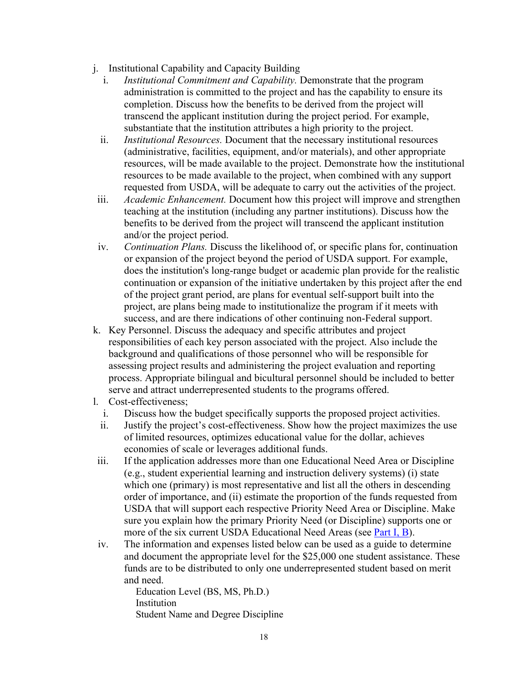- j. Institutional Capability and Capacity Building
	- i. *Institutional Commitment and Capability.* Demonstrate that the program administration is committed to the project and has the capability to ensure its completion. Discuss how the benefits to be derived from the project will transcend the applicant institution during the project period. For example, substantiate that the institution attributes a high priority to the project.
	- ii. *Institutional Resources.* Document that the necessary institutional resources (administrative, facilities, equipment, and/or materials), and other appropriate resources, will be made available to the project. Demonstrate how the institutional resources to be made available to the project, when combined with any support requested from USDA, will be adequate to carry out the activities of the project.
- iii. *Academic Enhancement.* Document how this project will improve and strengthen teaching at the institution (including any partner institutions). Discuss how the benefits to be derived from the project will transcend the applicant institution and/or the project period.
- iv. *Continuation Plans.* Discuss the likelihood of, or specific plans for, continuation or expansion of the project beyond the period of USDA support. For example, does the institution's long-range budget or academic plan provide for the realistic continuation or expansion of the initiative undertaken by this project after the end of the project grant period, are plans for eventual self-support built into the project, are plans being made to institutionalize the program if it meets with success, and are there indications of other continuing non-Federal support.
- k. Key Personnel. Discuss the adequacy and specific attributes and project responsibilities of each key person associated with the project. Also include the background and qualifications of those personnel who will be responsible for assessing project results and administering the project evaluation and reporting process. Appropriate bilingual and bicultural personnel should be included to better serve and attract underrepresented students to the programs offered.
- l. Cost-effectiveness;
	- i. Discuss how the budget specifically supports the proposed project activities.
	- ii. Justify the project's cost-effectiveness. Show how the project maximizes the use of limited resources, optimizes educational value for the dollar, achieves economies of scale or leverages additional funds.
- iii. If the application addresses more than one Educational Need Area or Discipline (e.g., student experiential learning and instruction delivery systems) (i) state which one (primary) is most representative and list all the others in descending order of importance, and (ii) estimate the proportion of the funds requested from USDA that will support each respective Priority Need Area or Discipline. Make sure you explain how the primary Priority Need (or Discipline) supports one or more of the six current USDA Educational Need Areas (see [Part I, B\)](#page-5-2).
- iv. The information and expenses listed below can be used as a guide to determine and document the appropriate level for the \$25,000 one student assistance. These funds are to be distributed to only one underrepresented student based on merit and need.

Education Level (BS, MS, Ph.D.) Institution Student Name and Degree Discipline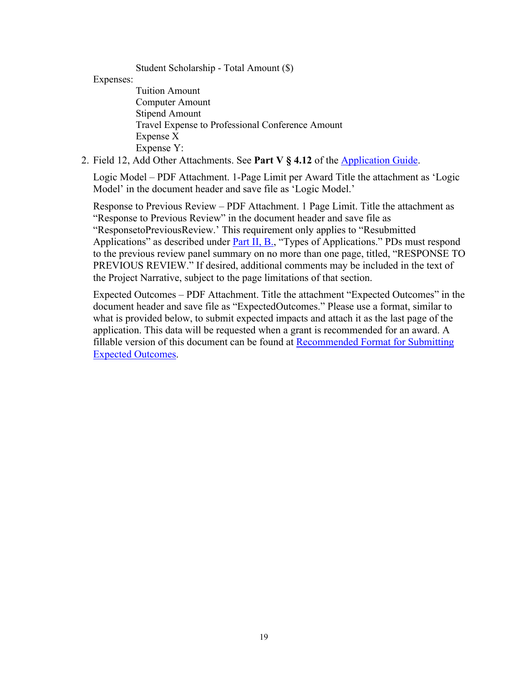Student Scholarship - Total Amount (\$)

Expenses:

Tuition Amount Computer Amount Stipend Amount Travel Expense to Professional Conference Amount Expense X Expense Y:

2. Field 12, Add Other Attachments. See **Part V § 4.12** of the [Application Guide.](https://apply07.grants.gov/apply/opportunities/instructions/PKG00249520-instructions.pdf)

Logic Model – PDF Attachment. 1-Page Limit per Award Title the attachment as 'Logic Model' in the document header and save file as 'Logic Model.'

Response to Previous Review – PDF Attachment. 1 Page Limit. Title the attachment as "Response to Previous Review" in the document header and save file as "ResponsetoPreviousReview.' This requirement only applies to "Resubmitted Applications" as described under [Part II, B.,](#page-8-2) "Types of Applications." PDs must respond to the previous review panel summary on no more than one page, titled, "RESPONSE TO PREVIOUS REVIEW." If desired, additional comments may be included in the text of the Project Narrative, subject to the page limitations of that section.

<span id="page-18-0"></span>Expected Outcomes – PDF Attachment. Title the attachment "Expected Outcomes" in the document header and save file as "ExpectedOutcomes." Please use a format, similar to what is provided below, to submit expected impacts and attach it as the last page of the application. This data will be requested when a grant is recommended for an award. A fillable version of this document can be found at [Recommended Format for Submitting](https://nifa.usda.gov/resource/recommended-format-submitting-expected-impacts)  [Expected Outcomes.](https://nifa.usda.gov/resource/recommended-format-submitting-expected-impacts)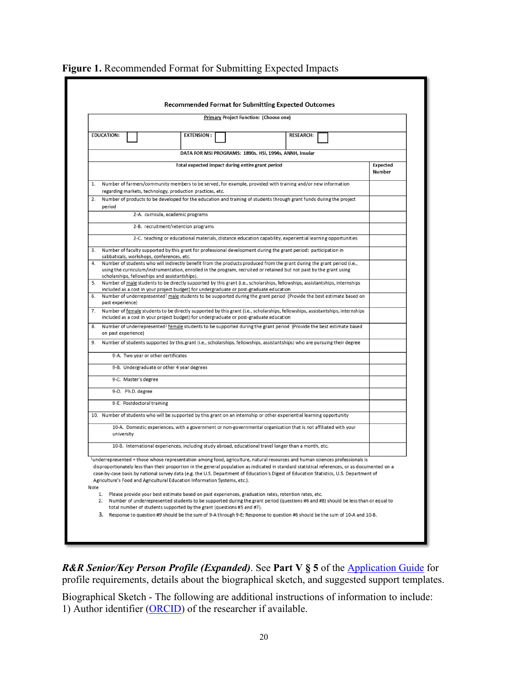| Primary Project Function: (Choose one)                                                                                                                                                                                                                                                                                                                                                                                                                                                                                     |                    |
|----------------------------------------------------------------------------------------------------------------------------------------------------------------------------------------------------------------------------------------------------------------------------------------------------------------------------------------------------------------------------------------------------------------------------------------------------------------------------------------------------------------------------|--------------------|
| <b>EDUCATION:</b><br><b>EXTENSION:</b><br><b>RESEARCH:</b>                                                                                                                                                                                                                                                                                                                                                                                                                                                                 |                    |
|                                                                                                                                                                                                                                                                                                                                                                                                                                                                                                                            |                    |
| DATA FOR MSI PROGRAMS: 1890s, HSI, 1994s, ANNH, Insular                                                                                                                                                                                                                                                                                                                                                                                                                                                                    |                    |
| Total expected impact during entire grant period                                                                                                                                                                                                                                                                                                                                                                                                                                                                           | Expected<br>Number |
| Number of farmers/community members to be served, for example, provided with training and/or new information<br>1.<br>regarding markets, technology, production practices, etc.                                                                                                                                                                                                                                                                                                                                            |                    |
| Number of products to be developed for the education and training of students through grant funds during the project<br>2.<br>period                                                                                                                                                                                                                                                                                                                                                                                       |                    |
| 2-A. curricula, academic programs                                                                                                                                                                                                                                                                                                                                                                                                                                                                                          |                    |
| 2-B. recruitment/retention programs                                                                                                                                                                                                                                                                                                                                                                                                                                                                                        |                    |
| 2-C. teaching or educational materials, distance education capability, experiential learning opportunities                                                                                                                                                                                                                                                                                                                                                                                                                 |                    |
| Number of faculty supported by this grant for professional development during the grant period: participation in<br>3.<br>sabbaticals, workshops, conferences, etc.                                                                                                                                                                                                                                                                                                                                                        |                    |
| Number of students who will indirectly benefit from the products produced from the grant during the grant period (i.e.,<br>4.<br>using the curriculum/instrumentation, enrolled in the program, recruited or retained but not paid by the grant using<br>scholarships, fellowships and assistantships).                                                                                                                                                                                                                    |                    |
| Number of male students to be directly supported by this grant (i.e., scholarships, fellowships, assistantships, internships<br>5.                                                                                                                                                                                                                                                                                                                                                                                         |                    |
| included as a cost in your project budget) for undergraduate or post-graduate education<br>6. Number of underrepresented <sup>1</sup> male students to be supported during the grant period (Provide the best estimate based on<br>past experience)                                                                                                                                                                                                                                                                        |                    |
| Number of female students to be directly supported by this grant (i.e., scholarships, fellowships, assistantships, internships<br>7.<br>included as a cost in your project budget) for undergraduate or post-graduate education                                                                                                                                                                                                                                                                                            |                    |
| Number of underrepresented <sup>1</sup> female students to be supported during the grant period (Provide the best estimate based<br>8.<br>on past experience)                                                                                                                                                                                                                                                                                                                                                              |                    |
| Number of students supported by this grant (i.e., scholarships, fellowships, assistantships) who are pursuing their degree<br>9.                                                                                                                                                                                                                                                                                                                                                                                           |                    |
| 9-A. Two year or other certificates                                                                                                                                                                                                                                                                                                                                                                                                                                                                                        |                    |
| 9-B. Undergraduate or other 4 year degrees                                                                                                                                                                                                                                                                                                                                                                                                                                                                                 |                    |
| 9-C. Master's degree                                                                                                                                                                                                                                                                                                                                                                                                                                                                                                       |                    |
| 9-D. Ph.D. degree                                                                                                                                                                                                                                                                                                                                                                                                                                                                                                          |                    |
| 9-E. Postdoctoral training                                                                                                                                                                                                                                                                                                                                                                                                                                                                                                 |                    |
| 10. Number of students who will be supported by this grant on an internship or other experiential learning opportunity                                                                                                                                                                                                                                                                                                                                                                                                     |                    |
| 10-A. Domestic experiences, with a government or non-governmental organization that is not affiliated with your<br>university                                                                                                                                                                                                                                                                                                                                                                                              |                    |
| 10-B. International experiences, including study abroad, educational travel longer than a month, etc.                                                                                                                                                                                                                                                                                                                                                                                                                      |                    |
| <sup>1</sup> underrepresented = those whose representation among food, agriculture, natural resources and human sciences professionals is<br>disproportionately less than their proportion in the general population as indicated in standard statistical references, or as documented on a<br>case-by-case basis by national survey data (e.g. the U.S. Department of Education's Digest of Education Statistics, U.S. Department of<br>Agriculture's Food and Agricultural Education Information Systems, etc.).<br>Note |                    |
| 1.<br>Please provide your best estimate based on past experiences, graduation rates, retention rates, etc.<br>Number of underrepresented students to be supported during the grant period (questions #6 and #8) should be less than or equal to<br>2.<br>total number of students supported by the grant (questions #5 and #7).                                                                                                                                                                                            |                    |

#### **Figure 1.** Recommended Format for Submitting Expected Impacts

*R&R Senior/Key Person Profile (Expanded)*. See Part V § 5 of the [Application Guide](https://apply07.grants.gov/apply/opportunities/instructions/PKG00249520-instructions.pdf) for profile requirements, details about the biographical sketch, and suggested support templates.

Biographical Sketch - The following are additional instructions of information to include: 1) Author identifier [\(ORCID\)](https://orcid.org/) of the researcher if available.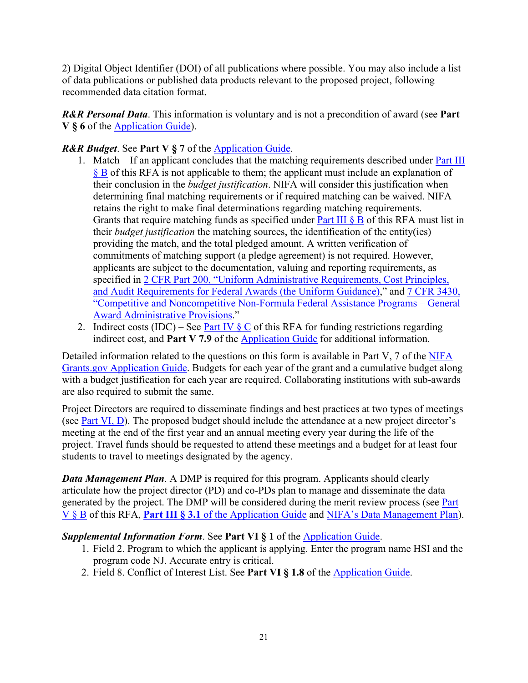2) Digital Object Identifier (DOI) of all publications where possible. You may also include a list of data publications or published data products relevant to the proposed project, following recommended data citation format.

*R&R Personal Data*. This information is voluntary and is not a precondition of award (see **Part V § 6** of the [Application Guide\)](https://apply07.grants.gov/apply/opportunities/instructions/PKG00249520-instructions.pdf).

## *R&R Budget*. See **Part V § 7** of the [Application Guide.](https://apply07.grants.gov/apply/opportunities/instructions/PKG00249520-instructions.pdf)

- 1. Match If an applicant concludes that the matching requirements described under [Part III](#page-11-2)  [§ B](#page-11-2) of this RFA is not applicable to them; the applicant must include an explanation of their conclusion in the *budget justification*. NIFA will consider this justification when determining final matching requirements or if required matching can be waived. NIFA retains the right to make final determinations regarding matching requirements. Grants that require matching funds as specified under Part III  $\& B$  of this RFA must list in their *budget justification* the matching sources, the identification of the entity(ies) providing the match, and the total pledged amount. A written verification of commitments of matching support (a pledge agreement) is not required. However, applicants are subject to the documentation, valuing and reporting requirements, as specified in [2 CFR Part 200, "Uniform Administrative Requirements, Cost Principles,](https://www.ecfr.gov/cgi-bin/text-idx?SID=39448527cdd5ebd0a063b91b8b44f0f5&mc=true&node=pt2.1.200&rgn=div5)  [and Audit Requirements for Federal Awards \(the Uniform Guidance\),](https://www.ecfr.gov/cgi-bin/text-idx?SID=39448527cdd5ebd0a063b91b8b44f0f5&mc=true&node=pt2.1.200&rgn=div5)" and [7 CFR 3430,](https://ecfr.io/Title-07/pt7.15.3430)  ["Competitive and Noncompetitive Non-Formula Federal Assistance Programs –](https://ecfr.io/Title-07/pt7.15.3430) General [Award Administrative Provisions.](https://ecfr.io/Title-07/pt7.15.3430)"
- 2. Indirect costs (IDC) See <u>Part IV  $\S$  C</u> of this RFA for funding restrictions regarding indirect cost, and **Part V 7.9** of the [Application Guide](https://apply07.grants.gov/apply/opportunities/instructions/PKG00249520-instructions.pdf) for additional information.

Detailed information related to the questions on this form is available in Part V, 7 of the NIFA [Grants.gov Application Guide.](https://apply07.grants.gov/apply/opportunities/instructions/PKG00249520-instructions.pdf) Budgets for each year of the grant and a cumulative budget along with a budget justification for each year are required. Collaborating institutions with sub-awards are also required to submit the same.

Project Directors are required to disseminate findings and best practices at two types of meetings (see [Part VI, D\)](#page-23-2). The proposed budget should include the attendance at a new project director's meeting at the end of the first year and an annual meeting every year during the life of the project. Travel funds should be requested to attend these meetings and a budget for at least four students to travel to meetings designated by the agency.

*Data Management Plan.* A DMP is required for this program. Applicants should clearly articulate how the project director (PD) and co-PDs plan to manage and disseminate the data generated by the project. The DMP will be considered during the merit review process (see Part [V § B](#page-22-2) of this RFA, **Part III § 3.1** of the [Application Guide](https://apply07.grants.gov/apply/opportunities/instructions/PKG00249520-instructions.pdf) and NIFA's Data [Management Plan\)](https://nifa.usda.gov/resource/data-management-plan-nifa-funded-research-projects).

## *Supplemental Information Form*. See **Part VI § 1** of the [Application Guide.](https://apply07.grants.gov/apply/opportunities/instructions/PKG00249520-instructions.pdf)

- 1. Field 2. Program to which the applicant is applying. Enter the program name HSI and the program code NJ. Accurate entry is critical.
- 2. Field 8. Conflict of Interest List. See **Part VI § 1.8** of the [Application Guide.](https://apply07.grants.gov/apply/opportunities/instructions/PKG00249520-instructions.pdf)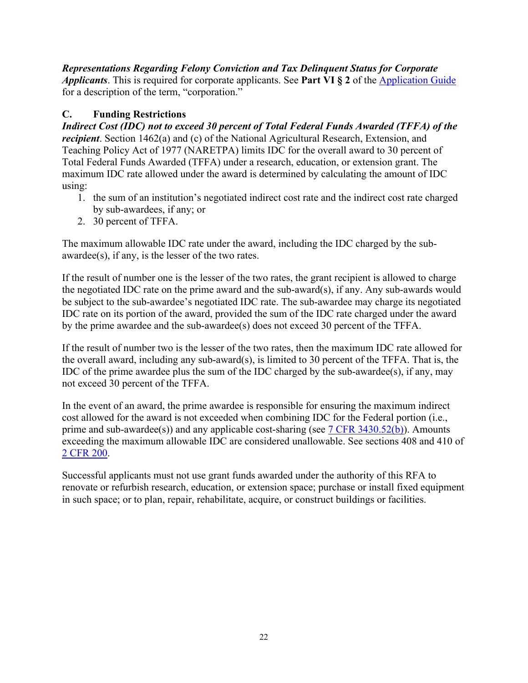*Representations Regarding Felony Conviction and Tax Delinquent Status for Corporate Applicants*. This is required for corporate applicants. See **Part VI § 2** of the [Application Guide](https://apply07.grants.gov/apply/opportunities/instructions/PKG00249520-instructions.pdf) for a description of the term, "corporation."

# <span id="page-21-0"></span>**C. Funding Restrictions**

*Indirect Cost (IDC) not to exceed 30 percent of Total Federal Funds Awarded (TFFA) of the recipient*. Section 1462(a) and (c) of the National Agricultural Research, Extension, and Teaching Policy Act of 1977 (NARETPA) limits IDC for the overall award to 30 percent of Total Federal Funds Awarded (TFFA) under a research, education, or extension grant. The maximum IDC rate allowed under the award is determined by calculating the amount of IDC using:

- 1. the sum of an institution's negotiated indirect cost rate and the indirect cost rate charged by sub-awardees, if any; or
- 2. 30 percent of TFFA.

The maximum allowable IDC rate under the award, including the IDC charged by the subawardee(s), if any, is the lesser of the two rates.

If the result of number one is the lesser of the two rates, the grant recipient is allowed to charge the negotiated IDC rate on the prime award and the sub-award(s), if any. Any sub-awards would be subject to the sub-awardee's negotiated IDC rate. The sub-awardee may charge its negotiated IDC rate on its portion of the award, provided the sum of the IDC rate charged under the award by the prime awardee and the sub-awardee(s) does not exceed 30 percent of the TFFA.

If the result of number two is the lesser of the two rates, then the maximum IDC rate allowed for the overall award, including any sub-award(s), is limited to 30 percent of the TFFA. That is, the IDC of the prime awardee plus the sum of the IDC charged by the sub-awardee(s), if any, may not exceed 30 percent of the TFFA.

In the event of an award, the prime awardee is responsible for ensuring the maximum indirect cost allowed for the award is not exceeded when combining IDC for the Federal portion (i.e., prime and sub-awardee(s)) and any applicable cost-sharing (see [7 CFR 3430.52\(b\)\)](https://www.ecfr.gov/cgi-bin/text-idx?node=pt7.15.3430&rgn=div5). Amounts exceeding the maximum allowable IDC are considered unallowable. See sections 408 and 410 of [2 CFR 200.](https://www.ecfr.gov/cgi-bin/text-idx?tpl=/ecfrbrowse/Title02/2cfr200_main_02.tpl)

Successful applicants must not use grant funds awarded under the authority of this RFA to renovate or refurbish research, education, or extension space; purchase or install fixed equipment in such space; or to plan, repair, rehabilitate, acquire, or construct buildings or facilities.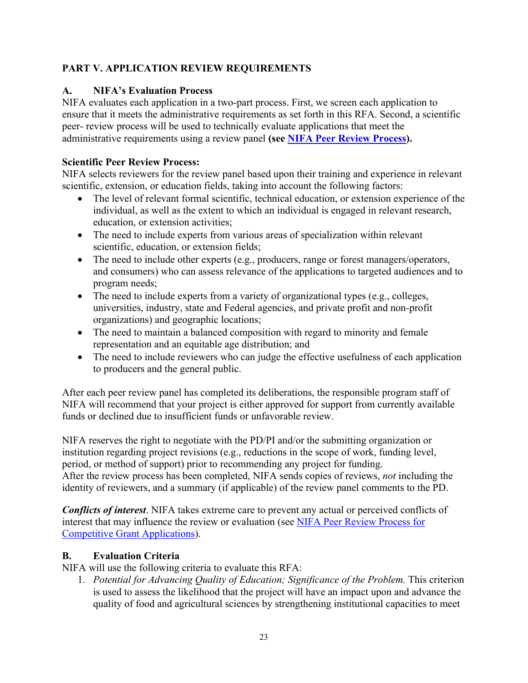## <span id="page-22-0"></span>**PART V. APPLICATION REVIEW REQUIREMENTS**

## <span id="page-22-1"></span>**A. NIFA's Evaluation Process**

NIFA evaluates each application in a two-part process. First, we screen each application to ensure that it meets the administrative requirements as set forth in this RFA. Second, a scientific peer- review process will be used to technically evaluate applications that meet the administrative requirements using a review panel **(see [NIFA Peer Review Process\)](https://nifa.usda.gov/resource/nifa-peer-review-process-competitive-grant-applications).**

## **Scientific Peer Review Process:**

NIFA selects reviewers for the review panel based upon their training and experience in relevant scientific, extension, or education fields, taking into account the following factors:

- The level of relevant formal scientific, technical education, or extension experience of the individual, as well as the extent to which an individual is engaged in relevant research, education, or extension activities;
- The need to include experts from various areas of specialization within relevant scientific, education, or extension fields;
- The need to include other experts (e.g., producers, range or forest managers/operators, and consumers) who can assess relevance of the applications to targeted audiences and to program needs;
- The need to include experts from a variety of organizational types (e.g., colleges, universities, industry, state and Federal agencies, and private profit and non-profit organizations) and geographic locations;
- The need to maintain a balanced composition with regard to minority and female representation and an equitable age distribution; and
- The need to include reviewers who can judge the effective usefulness of each application to producers and the general public.

After each peer review panel has completed its deliberations, the responsible program staff of NIFA will recommend that your project is either approved for support from currently available funds or declined due to insufficient funds or unfavorable review.

NIFA reserves the right to negotiate with the PD/PI and/or the submitting organization or institution regarding project revisions (e.g., reductions in the scope of work, funding level, period, or method of support) prior to recommending any project for funding. After the review process has been completed, NIFA sends copies of reviews, *not* including the identity of reviewers, and a summary (if applicable) of the review panel comments to the PD.

*Conflicts of interest*. NIFA takes extreme care to prevent any actual or perceived conflicts of interest that may influence the review or evaluation (see [NIFA Peer Review Process](https://nifa.usda.gov/resource/nifa-peer-review-process-competitive-grant-applications) for [Competitive Grant Applications\)](https://nifa.usda.gov/resource/nifa-peer-review-process-competitive-grant-applications).

# <span id="page-22-2"></span>**B. Evaluation Criteria**

NIFA will use the following criteria to evaluate this RFA:

1. *Potential for Advancing Quality of Education; Significance of the Problem.* This criterion is used to assess the likelihood that the project will have an impact upon and advance the quality of food and agricultural sciences by strengthening institutional capacities to meet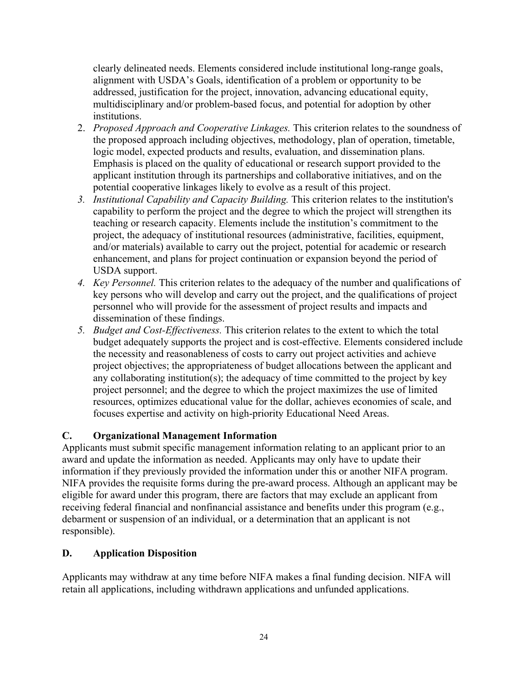clearly delineated needs. Elements considered include institutional long-range goals, alignment with USDA's Goals, identification of a problem or opportunity to be addressed, justification for the project, innovation, advancing educational equity, multidisciplinary and/or problem-based focus, and potential for adoption by other institutions.

- 2. *Proposed Approach and Cooperative Linkages.* This criterion relates to the soundness of the proposed approach including objectives, methodology, plan of operation, timetable, logic model, expected products and results, evaluation, and dissemination plans. Emphasis is placed on the quality of educational or research support provided to the applicant institution through its partnerships and collaborative initiatives, and on the potential cooperative linkages likely to evolve as a result of this project.
- *3. Institutional Capability and Capacity Building.* This criterion relates to the institution's capability to perform the project and the degree to which the project will strengthen its teaching or research capacity. Elements include the institution's commitment to the project, the adequacy of institutional resources (administrative, facilities, equipment, and/or materials) available to carry out the project, potential for academic or research enhancement, and plans for project continuation or expansion beyond the period of USDA support.
- *4. Key Personnel.* This criterion relates to the adequacy of the number and qualifications of key persons who will develop and carry out the project, and the qualifications of project personnel who will provide for the assessment of project results and impacts and dissemination of these findings.
- *5. Budget and Cost-Effectiveness.* This criterion relates to the extent to which the total budget adequately supports the project and is cost-effective. Elements considered include the necessity and reasonableness of costs to carry out project activities and achieve project objectives; the appropriateness of budget allocations between the applicant and any collaborating institution(s); the adequacy of time committed to the project by key project personnel; and the degree to which the project maximizes the use of limited resources, optimizes educational value for the dollar, achieves economies of scale, and focuses expertise and activity on high-priority Educational Need Areas.

## <span id="page-23-0"></span>**C. Organizational Management Information**

Applicants must submit specific management information relating to an applicant prior to an award and update the information as needed. Applicants may only have to update their information if they previously provided the information under this or another NIFA program. NIFA provides the requisite forms during the pre-award process. Although an applicant may be eligible for award under this program, there are factors that may exclude an applicant from receiving federal financial and nonfinancial assistance and benefits under this program (e.g., debarment or suspension of an individual, or a determination that an applicant is not responsible).

#### <span id="page-23-1"></span>**D. Application Disposition**

<span id="page-23-2"></span>Applicants may withdraw at any time before NIFA makes a final funding decision. NIFA will retain all applications, including withdrawn applications and unfunded applications.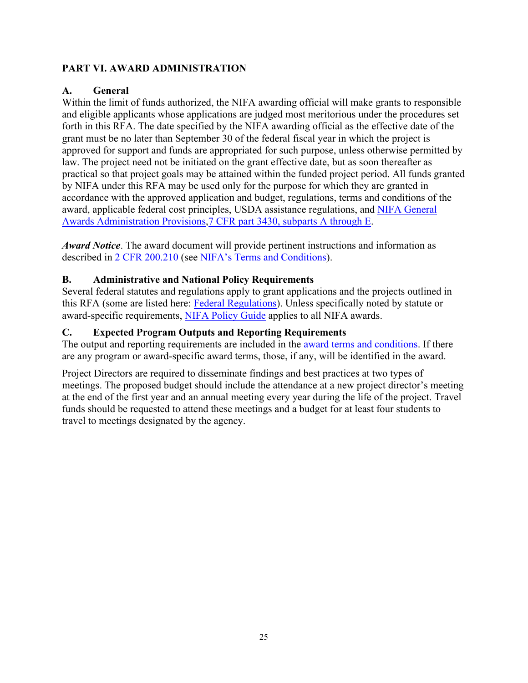## <span id="page-24-0"></span>**PART VI. AWARD ADMINISTRATION**

## <span id="page-24-1"></span>**A. General**

Within the limit of funds authorized, the NIFA awarding official will make grants to responsible and eligible applicants whose applications are judged most meritorious under the procedures set forth in this RFA. The date specified by the NIFA awarding official as the effective date of the grant must be no later than September 30 of the federal fiscal year in which the project is approved for support and funds are appropriated for such purpose, unless otherwise permitted by law. The project need not be initiated on the grant effective date, but as soon thereafter as practical so that project goals may be attained within the funded project period. All funds granted by NIFA under this RFA may be used only for the purpose for which they are granted in accordance with the approved application and budget, regulations, terms and conditions of the award, applicable federal cost principles, USDA assistance regulations, and [NIFA General](https://ecfr.io/Title-07/pt7.15.3430)  [Awards Administration Provisions,7 CFR part 3430, subparts A through E.](https://ecfr.io/Title-07/pt7.15.3430)

*Award Notice*. The award document will provide pertinent instructions and information as described in [2 CFR 200.210](https://www.ecfr.gov/cgi-bin/text-idx?SID=70b44cfc44976f4a7742464f7cfbb37e&mc=true&node=se2.1.200_1210&rgn=div8) (see [NIFA's Terms and Conditions\)](https://nifa.usda.gov/terms-and-conditions).

#### <span id="page-24-2"></span>**B. Administrative and National Policy Requirements**

Several federal statutes and regulations apply to grant applications and the projects outlined in this RFA (some are listed here: [Federal Regulations\)](https://nifa.usda.gov/federal-regulations). Unless specifically noted by statute or award-specific requirements, [NIFA Policy Guide](https://nifa.usda.gov/policy-guide) applies to all NIFA awards.

## <span id="page-24-3"></span>**C. Expected Program Outputs and Reporting Requirements**

The output and reporting requirements are included in the [award terms and conditions.](https://nifa.usda.gov/terms-and-conditions) If there are any program or award-specific award terms, those, if any, will be identified in the award.

Project Directors are required to disseminate findings and best practices at two types of meetings. The proposed budget should include the attendance at a new project director's meeting at the end of the first year and an annual meeting every year during the life of the project. Travel funds should be requested to attend these meetings and a budget for at least four students to travel to meetings designated by the agency.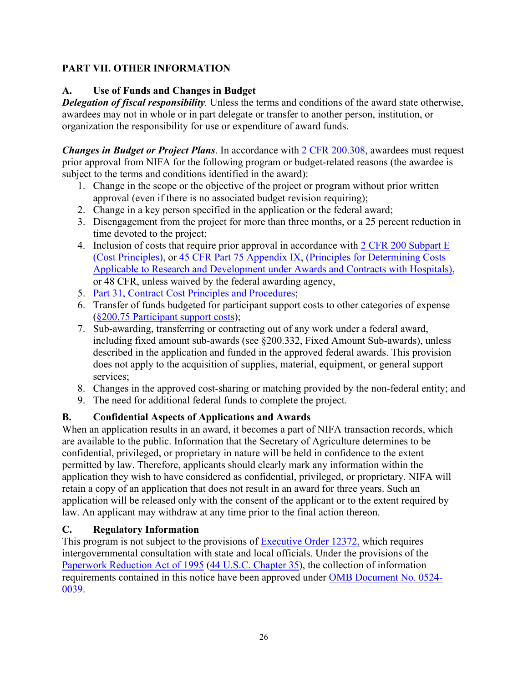## <span id="page-25-0"></span>**PART VII. OTHER INFORMATION**

## <span id="page-25-1"></span>**A. Use of Funds and Changes in Budget**

*Delegation of fiscal responsibility.* Unless the terms and conditions of the award state otherwise, awardees may not in whole or in part delegate or transfer to another person, institution, or organization the responsibility for use or expenditure of award funds.

*Changes in Budget or Project Plans*. In accordance with [2 CFR 200.308,](https://www.ecfr.gov/cgi-bin/text-idx?SID=3af89506559b05297e7d0334cb283e24&mc=true&node=se2.1.200_1308&rgn=div8) awardees must request prior approval from NIFA for the following program or budget-related reasons (the awardee is subject to the terms and conditions identified in the award):

- 1. Change in the scope or the objective of the project or program without prior written approval (even if there is no associated budget revision requiring);
- 2. Change in a key person specified in the application or the federal award;
- 3. Disengagement from the project for more than three months, or a 25 percent reduction in time devoted to the project;
- 4. Inclusion of costs that require prior approval in accordance with [2 CFR 200 Subpart E](https://ecfr.io/Title-02/sp2.1.200.e) [\(Cost Principles\),](https://ecfr.io/Title-02/sp2.1.200.e) or [45 CFR Part 75 Appendix IX,](https://www.ecfr.gov/cgi-bin/text-idx?node=pt45.1.75#ap45.1.75_1521.ix) [\(Principles for Determining Costs](https://www.ecfr.gov/cgi-bin/text-idx?node=pt45.1.75#ap45.1.75_1521.ix)  Applicable to [Research and Development under Awards and Contracts with Hospitals\)](https://www.ecfr.gov/cgi-bin/text-idx?node=pt45.1.75#ap45.1.75_1521.ix), or 48 CFR, unless waived by the federal awarding agency,
- 5. Part 31, [Contract Cost Principles and Procedures;](https://ecfr.io/Title-48/pt48.1.31)
- 6. Transfer of funds budgeted for participant support costs to other categories of expense (§200.75 [Participant support costs\)](http://federal.elaws.us/cfr/title2.part200.section200.75);
- 7. Sub-awarding, transferring or contracting out of any work under a federal award, including fixed amount sub-awards (see §200.332, Fixed Amount Sub-awards), unless described in the application and funded in the approved federal awards. This provision does not apply to the acquisition of supplies, material, equipment, or general support services;
- 8. Changes in the approved cost-sharing or matching provided by the non-federal entity; and
- 9. The need for additional federal funds to complete the project.

## <span id="page-25-2"></span>**B. Confidential Aspects of Applications and Awards**

When an application results in an award, it becomes a part of NIFA transaction records, which are available to the public. Information that the Secretary of Agriculture determines to be confidential, privileged, or proprietary in nature will be held in confidence to the extent permitted by law. Therefore, applicants should clearly mark any information within the application they wish to have considered as confidential, privileged, or proprietary. NIFA will retain a copy of an application that does not result in an award for three years. Such an application will be released only with the consent of the applicant or to the extent required by law. An applicant may withdraw at any time prior to the final action thereon.

#### <span id="page-25-3"></span>**C. Regulatory Information**

This program is not subject to the provisions of [Executive Order 12372,](https://www.fws.gov/policy/library/rgeo12372.pdf) which requires intergovernmental consultation with state and local officials. Under the provisions of the [Paperwork Reduction Act of 1995](https://www.reginfo.gov/public/reginfo/pra.pdf) [\(44 U.S.C. Chapter 35\)](http://uscode.house.gov/view.xhtml?path=/prelim@title44/chapter35&edition=prelim), the collection of information requirements contained in this notice have been approved under [OMB Document No. 0524-](https://www.federalregister.gov/documents/2018/10/29/2018-23552/submission-for-omb-review-comment-request) [0039.](https://www.federalregister.gov/documents/2018/10/29/2018-23552/submission-for-omb-review-comment-request)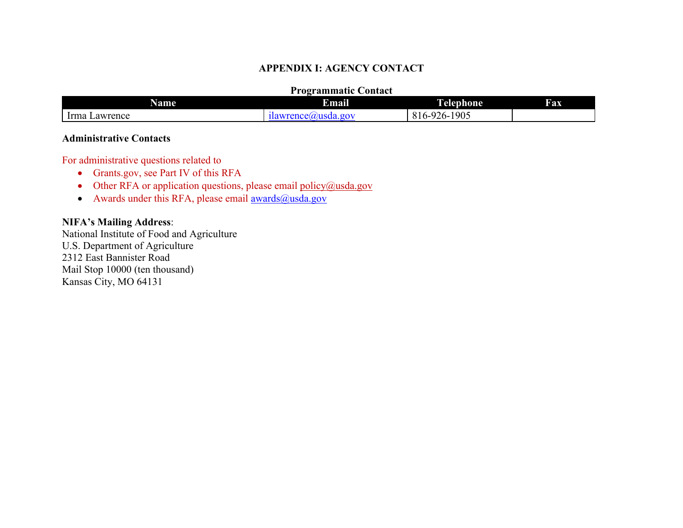#### **APPENDIX I: AGENCY CONTACT**

#### **Programmatic Contact**

| Name             | .<br>Email                                                        | י<br>1 elephone.                                      | <b>Fax</b> |
|------------------|-------------------------------------------------------------------|-------------------------------------------------------|------------|
| Irma<br>⊥awrence | $\sigma$ on $\sigma$<br>$2n\alpha$<br>116<br>$T = 0$<br>.<br>. u. | $-1905$<br>.026<br>$\angle 0$ – $\degree$<br>.<br>1 V |            |

#### **Administrative Contacts**

For administrative questions related to

- Grants.gov, see Part IV of this RFA
- Other RFA or application questions, please email  $\text{policy}(\hat{a})$ usda.gov
- Awards under this RFA, please email  $\frac{awards(0)(y_{\text{stda}}) bw_{\text{stda}}}{a^2 + b^2}$

## <span id="page-26-0"></span>**NIFA's Mailing Address**:

National Institute of Food and Agriculture U.S. Department of Agriculture 2312 East Bannister Road Mail Stop 10000 (ten thousand) Kansas City, MO 64131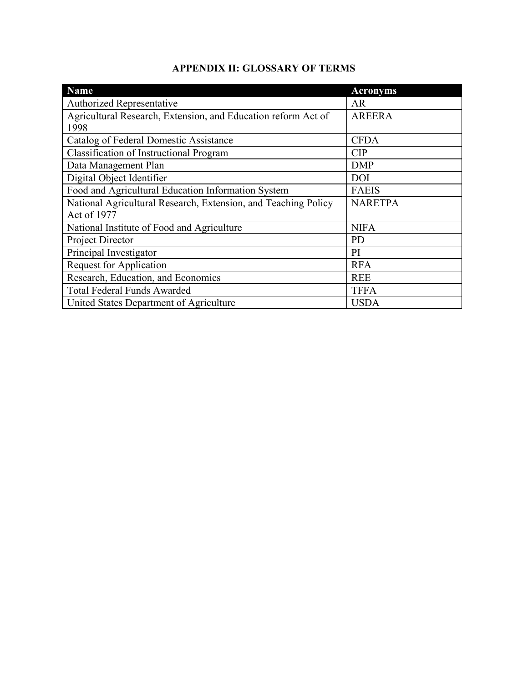# **APPENDIX II: GLOSSARY OF TERMS**

<span id="page-27-0"></span>

| <b>Name</b>                                                    | <b>Acronyms</b> |
|----------------------------------------------------------------|-----------------|
| Authorized Representative                                      | AR              |
| Agricultural Research, Extension, and Education reform Act of  | <b>AREERA</b>   |
| 1998                                                           |                 |
| Catalog of Federal Domestic Assistance                         | <b>CFDA</b>     |
| <b>Classification of Instructional Program</b>                 | CIP             |
| Data Management Plan                                           | <b>DMP</b>      |
| Digital Object Identifier                                      | <b>DOI</b>      |
| Food and Agricultural Education Information System             | <b>FAEIS</b>    |
| National Agricultural Research, Extension, and Teaching Policy | <b>NARETPA</b>  |
| Act of 1977                                                    |                 |
| National Institute of Food and Agriculture                     | <b>NIFA</b>     |
| Project Director                                               | <b>PD</b>       |
| Principal Investigator                                         | PI              |
| <b>Request for Application</b>                                 | <b>RFA</b>      |
| Research, Education, and Economics                             | <b>REE</b>      |
| <b>Total Federal Funds Awarded</b>                             | <b>TFFA</b>     |
| United States Department of Agriculture                        | <b>USDA</b>     |